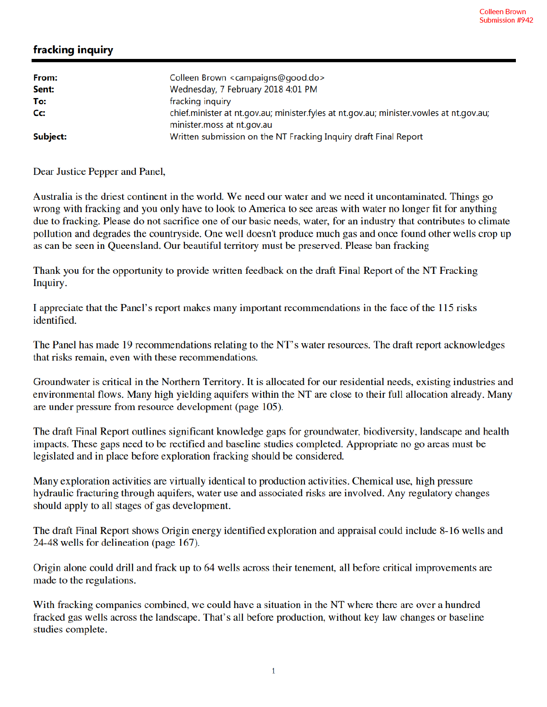## fracking inquiry

| From:<br>Sent: | Colleen Brown <campaigns@good.do><br/>Wednesday, 7 February 2018 4:01 PM</campaigns@good.do>                                              |
|----------------|-------------------------------------------------------------------------------------------------------------------------------------------|
| To:<br>Cc:     | fracking inquiry<br>chief.minister at nt.qov.au; minister.fyles at nt.gov.au; minister.vowles at nt.gov.au;<br>minister.moss at nt.gov.au |
| Subject:       | Written submission on the NT Fracking Inquiry draft Final Report                                                                          |

Dear Justice Pepper and Panel,

Australia is the driest continent in the world. We need our water and we need it uncontaminated. Things go wrong with fracking and you only have to look to America to see areas with water no longer fit for anything due to fracking. Please do not sacrifice one of our basic needs, water, for an industry that contributes to climate pollution and degrades the countryside. One well doesn't produce much gas and once found other wells crop up as can be seen in Queensland. Our beautiful territory must be preserved. Please ban fracking

Thank you for the opportunity to provide written feedback on the draft Final Report of the NT Fracking Inquiry.

I appreciate that the Panel's report makes many important recommendations in the face of the 115 risks identified.

The Panel has made 19 recommendations relating to the NT's water resources. The draft report acknowledges that risks remain, even with these recommendations.

Groundwater is critical in the Northern Territory. It is allocated for our residential needs, existing industries and environmental flows. Many high yielding aquifers within the NT are close to their full allocation already. Many are under pressure from resource development (page 105).

The draft Final Report outlines significant knowledge gaps for groundwater, biodiversity, landscape and health impacts. These gaps need to be rectified and baseline studies completed. Appropriate no go areas must be legislated and in place before exploration fracking should be considered.

Many exploration activities are virtually identical to production activities. Chemical use, high pressure hydraulic fracturing through aquifers, water use and associated risks are involved. Any regulatory changes should apply to all stages of gas development.

The draft Final Report shows Origin energy identified exploration and appraisal could include 8-16 wells and 24-48 wells for delineation (page 167).

Origin alone could drill and frack up to 64 wells across their tenement, all before critical improvements are made to the regulations.

With fracking companies combined, we could have a situation in the NT where there are over a hundred fracked gas wells across the landscape. That's all before production, without key law changes or baseline studies complete.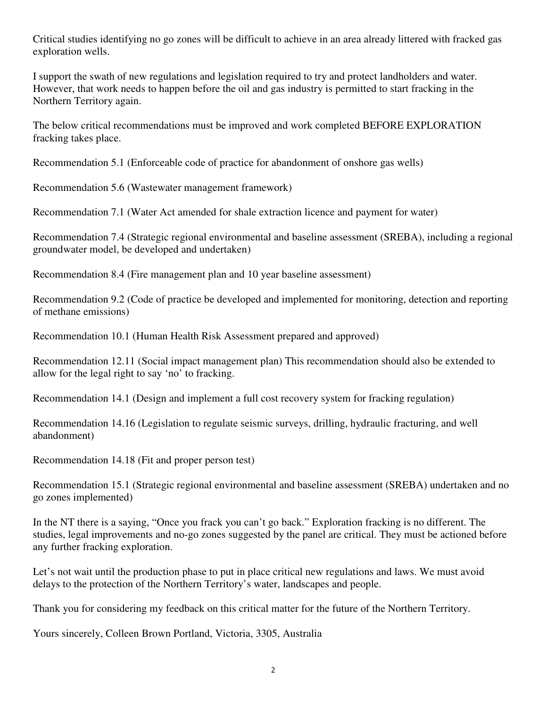Critical studies identifying no go zones will be difficult to achieve in an area already littered with fracked gas exploration wells.

I support the swath of new regulations and legislation required to try and protect landholders and water. However, that work needs to happen before the oil and gas industry is permitted to start fracking in the Northern Territory again.

The below critical recommendations must be improved and work completed BEFORE EXPLORATION fracking takes place.

Recommendation 5.1 (Enforceable code of practice for abandonment of onshore gas wells)

Recommendation 5.6 (Wastewater management framework)

Recommendation 7.1 (Water Act amended for shale extraction licence and payment for water)

Recommendation 7.4 (Strategic regional environmental and baseline assessment (SREBA), including a regional groundwater model, be developed and undertaken)

Recommendation 8.4 (Fire management plan and 10 year baseline assessment)

Recommendation 9.2 (Code of practice be developed and implemented for monitoring, detection and reporting of methane emissions)

Recommendation 10.1 (Human Health Risk Assessment prepared and approved)

Recommendation 12.11 (Social impact management plan) This recommendation should also be extended to allow for the legal right to say 'no' to fracking.

Recommendation 14.1 (Design and implement a full cost recovery system for fracking regulation)

Recommendation 14.16 (Legislation to regulate seismic surveys, drilling, hydraulic fracturing, and well abandonment)

Recommendation 14.18 (Fit and proper person test)

Recommendation 15.1 (Strategic regional environmental and baseline assessment (SREBA) undertaken and no go zones implemented)

In the NT there is a saying, "Once you frack you can't go back." Exploration fracking is no different. The studies, legal improvements and no-go zones suggested by the panel are critical. They must be actioned before any further fracking exploration.

Let's not wait until the production phase to put in place critical new regulations and laws. We must avoid delays to the protection of the Northern Territory's water, landscapes and people.

Thank you for considering my feedback on this critical matter for the future of the Northern Territory.

Yours sincerely, Colleen Brown Portland, Victoria, 3305, Australia